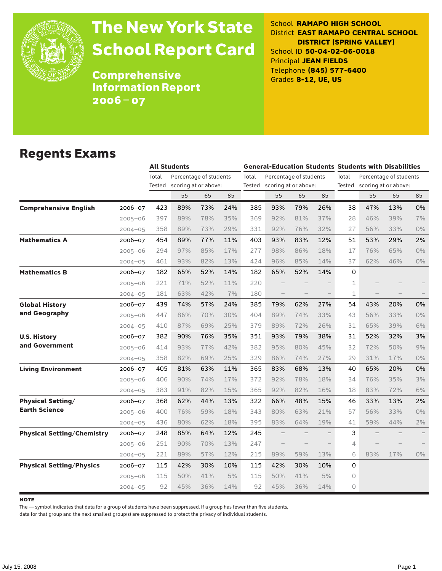

# The New York State School Report Card

School **RAMAPO HIGH SCHOOL** District **EAST RAMAPO CENTRAL SCHOOL DISTRICT (SPRING VALLEY)** School ID **50-04-02-06-0018** Principal **JEAN FIELDS** Telephone **(845) 577-6400** Grades **8-12, UE, US**

Comprehensive Information Report 2006–07

### Regents Exams

|                                   |             |        | <b>All Students</b>    |     |     |       | <b>General-Education Students Students with Disabilities</b> |     |     |             |                        |                             |       |  |
|-----------------------------------|-------------|--------|------------------------|-----|-----|-------|--------------------------------------------------------------|-----|-----|-------------|------------------------|-----------------------------|-------|--|
|                                   |             | Total  | Percentage of students |     |     | Total | Percentage of students                                       |     |     | Total       | Percentage of students |                             |       |  |
|                                   |             | Tested | scoring at or above:   |     |     |       | Tested scoring at or above:                                  |     |     |             |                        | Tested scoring at or above: |       |  |
|                                   |             |        | 55                     | 65  | 85  |       | 55                                                           | 65  | 85  |             | 55                     | 65                          | 85    |  |
| <b>Comprehensive English</b>      | $2006 - 07$ | 423    | 89%                    | 73% | 24% | 385   | 93%                                                          | 79% | 26% | 38          | 47%                    | 13%                         | 0%    |  |
|                                   | $2005 - 06$ | 397    | 89%                    | 78% | 35% | 369   | 92%                                                          | 81% | 37% | 28          | 46%                    | 39%                         | 7%    |  |
|                                   | $2004 - 05$ | 358    | 89%                    | 73% | 29% | 331   | 92%                                                          | 76% | 32% | 27          | 56%                    | 33%                         | $0\%$ |  |
| <b>Mathematics A</b>              | 2006-07     | 454    | 89%                    | 77% | 11% | 403   | 93%                                                          | 83% | 12% | 51          | 53%                    | 29%                         | 2%    |  |
|                                   | $2005 - 06$ | 294    | 97%                    | 85% | 17% | 277   | 98%                                                          | 86% | 18% | 17          | 76%                    | 65%                         | $0\%$ |  |
|                                   | $2004 - 05$ | 461    | 93%                    | 82% | 13% | 424   | 96%                                                          | 85% | 14% | 37          | 62%                    | 46%                         | $0\%$ |  |
| <b>Mathematics B</b>              | $2006 - 07$ | 182    | 65%                    | 52% | 14% | 182   | 65%                                                          | 52% | 14% | $\Omega$    |                        |                             |       |  |
|                                   | $2005 - 06$ | 221    | 71%                    | 52% | 11% | 220   |                                                              |     |     | 1           |                        |                             |       |  |
|                                   | $2004 - 05$ | 181    | 63%                    | 42% | 7%  | 180   |                                                              |     |     | $\mathbf 1$ |                        |                             |       |  |
| <b>Global History</b>             | $2006 - 07$ | 439    | 74%                    | 57% | 24% | 385   | 79%                                                          | 62% | 27% | 54          | 43%                    | 20%                         | 0%    |  |
| and Geography                     | $2005 - 06$ | 447    | 86%                    | 70% | 30% | 404   | 89%                                                          | 74% | 33% | 43          | 56%                    | 33%                         | 0%    |  |
|                                   | $2004 - 05$ | 410    | 87%                    | 69% | 25% | 379   | 89%                                                          | 72% | 26% | 31          | 65%                    | 39%                         | 6%    |  |
| <b>U.S. History</b>               | 2006-07     | 382    | 90%                    | 76% | 35% | 351   | 93%                                                          | 79% | 38% | 31          | 52%                    | 32%                         | 3%    |  |
| and Government                    | $2005 - 06$ | 414    | 93%                    | 77% | 42% | 382   | 95%                                                          | 80% | 45% | 32          | 72%                    | 50%                         | 9%    |  |
|                                   | $2004 - 05$ | 358    | 82%                    | 69% | 25% | 329   | 86%                                                          | 74% | 27% | 29          | 31%                    | 17%                         | 0%    |  |
| <b>Living Environment</b>         | $2006 - 07$ | 405    | 81%                    | 63% | 11% | 365   | 83%                                                          | 68% | 13% | 40          | 65%                    | 20%                         | 0%    |  |
|                                   | $2005 - 06$ | 406    | 90%                    | 74% | 17% | 372   | 92%                                                          | 78% | 18% | 34          | 76%                    | 35%                         | 3%    |  |
|                                   | $2004 - 05$ | 383    | 91%                    | 82% | 15% | 365   | 92%                                                          | 82% | 16% | 18          | 83%                    | 72%                         | 6%    |  |
| <b>Physical Setting/</b>          | $2006 - 07$ | 368    | 62%                    | 44% | 13% | 322   | 66%                                                          | 48% | 15% | 46          | 33%                    | 13%                         | 2%    |  |
| <b>Earth Science</b>              | $2005 - 06$ | 400    | 76%                    | 59% | 18% | 343   | 80%                                                          | 63% | 21% | 57          | 56%                    | 33%                         | 0%    |  |
|                                   | $2004 - 05$ | 436    | 80%                    | 62% | 18% | 395   | 83%                                                          | 64% | 19% | 41          | 59%                    | 44%                         | 2%    |  |
| <b>Physical Setting/Chemistry</b> | 2006-07     | 248    | 85%                    | 64% | 12% | 245   |                                                              |     |     | 3           |                        |                             |       |  |
|                                   | $2005 - 06$ | 251    | 90%                    | 70% | 13% | 247   |                                                              |     |     | 4           |                        |                             |       |  |
|                                   | $2004 - 05$ | 221    | 89%                    | 57% | 12% | 215   | 89%                                                          | 59% | 13% | 6           | 83%                    | 17%                         | $0\%$ |  |
| <b>Physical Setting/Physics</b>   | $2006 - 07$ | 115    | 42%                    | 30% | 10% | 115   | 42%                                                          | 30% | 10% | $\Omega$    |                        |                             |       |  |
|                                   | $2005 - 06$ | 115    | 50%                    | 41% | 5%  | 115   | 50%                                                          | 41% | 5%  | 0           |                        |                             |       |  |
|                                   | $2004 - 05$ | 92     | 45%                    | 36% | 14% | 92    | 45%                                                          | 36% | 14% | $\circ$     |                        |                             |       |  |

**NOTE** 

The — symbol indicates that data for a group of students have been suppressed. If a group has fewer than five students,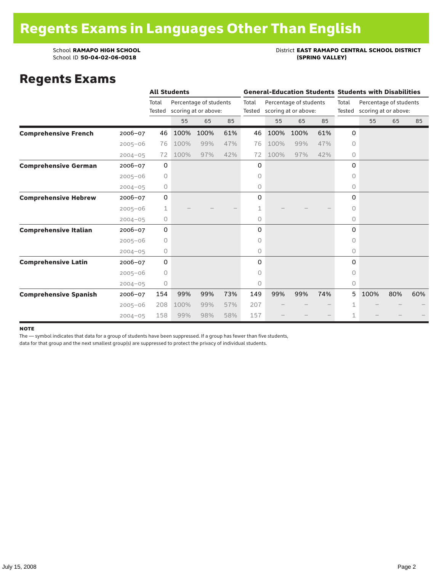### School **RAMAPO HIGH SCHOOL**<br>School ID 50-04-02-06-0018<br>(SPRING VALLEY)

### Regents Exams

|                              |             |             | <b>All Students</b> |                        |     |        |                      |                        |        |                      | <b>General-Education Students Students with Disabilities</b> |     |     |  |
|------------------------------|-------------|-------------|---------------------|------------------------|-----|--------|----------------------|------------------------|--------|----------------------|--------------------------------------------------------------|-----|-----|--|
|                              |             | Total       |                     | Percentage of students |     | Total  |                      | Percentage of students |        | Total                | Percentage of students                                       |     |     |  |
|                              |             | Tested      |                     | scoring at or above:   |     | Tested | scoring at or above: |                        | Tested | scoring at or above: |                                                              |     |     |  |
|                              |             |             | 55                  | 65                     | 85  |        | 55                   | 65                     | 85     |                      | 55                                                           | 65  | 85  |  |
| <b>Comprehensive French</b>  | $2006 - 07$ | 46          | 100%                | 100%                   | 61% | 46     | 100%                 | 100%                   | 61%    | 0                    |                                                              |     |     |  |
|                              | $2005 - 06$ | 76          | 100%                | 99%                    | 47% | 76     | 100%                 | 99%                    | 47%    | $\circ$              |                                                              |     |     |  |
|                              | $2004 - 05$ | 72          | 100%                | 97%                    | 42% | 72     | 100%                 | 97%                    | 42%    | 0                    |                                                              |     |     |  |
| <b>Comprehensive German</b>  | 2006-07     | $\mathbf 0$ |                     |                        |     | 0      |                      |                        |        | $\Omega$             |                                                              |     |     |  |
|                              | $2005 - 06$ | $\circ$     |                     |                        |     | 0      |                      |                        |        | 0                    |                                                              |     |     |  |
|                              | $2004 - 05$ | 0           |                     |                        |     | 0      |                      |                        |        | 0                    |                                                              |     |     |  |
| <b>Comprehensive Hebrew</b>  | $2006 - 07$ | $\mathbf 0$ |                     |                        |     | 0      |                      |                        |        | $\Omega$             |                                                              |     |     |  |
|                              | $2005 - 06$ | 1           |                     |                        |     | 1      |                      |                        |        | 0                    |                                                              |     |     |  |
|                              | $2004 - 05$ | $\circ$     |                     |                        |     | 0      |                      |                        |        | 0                    |                                                              |     |     |  |
| <b>Comprehensive Italian</b> | $2006 - 07$ | $\mathbf 0$ |                     |                        |     | 0      |                      |                        |        | 0                    |                                                              |     |     |  |
|                              | $2005 - 06$ | $\circ$     |                     |                        |     | 0      |                      |                        |        | 0                    |                                                              |     |     |  |
|                              | $2004 - 05$ | 0           |                     |                        |     | 0      |                      |                        |        | $\circ$              |                                                              |     |     |  |
| <b>Comprehensive Latin</b>   | $2006 - 07$ | $\mathbf 0$ |                     |                        |     | 0      |                      |                        |        | $\Omega$             |                                                              |     |     |  |
|                              | $2005 - 06$ | 0           |                     |                        |     | 0      |                      |                        |        | $\bigcap$            |                                                              |     |     |  |
|                              | $2004 - 05$ | 0           |                     |                        |     | 0      |                      |                        |        | $\circ$              |                                                              |     |     |  |
| <b>Comprehensive Spanish</b> | $2006 - 07$ | 154         | 99%                 | 99%                    | 73% | 149    | 99%                  | 99%                    | 74%    | 5                    | 100%                                                         | 80% | 60% |  |
|                              | $2005 - 06$ | 208         | 100%                | 99%                    | 57% | 207    |                      |                        |        |                      |                                                              |     |     |  |
|                              | $2004 - 05$ | 158         | 99%                 | 98%                    | 58% | 157    |                      |                        |        | 1                    |                                                              |     |     |  |

#### note

The — symbol indicates that data for a group of students have been suppressed. If a group has fewer than five students,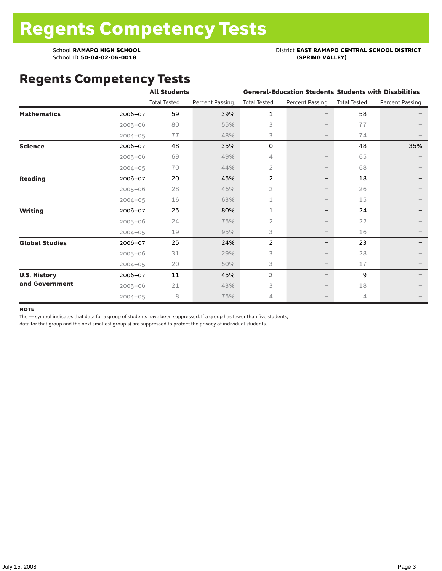### School **RAMAPO HIGH SCHOOL**<br>School ID 50-04-02-06-0018<br>(SPRING VALLEY)

### Regents Competency Tests

|                       |             | <b>All Students</b> |                  |                     |                          | <b>General-Education Students Students with Disabilities</b> |                  |  |
|-----------------------|-------------|---------------------|------------------|---------------------|--------------------------|--------------------------------------------------------------|------------------|--|
|                       |             | <b>Total Tested</b> | Percent Passing: | <b>Total Tested</b> | Percent Passing:         | <b>Total Tested</b>                                          | Percent Passing: |  |
| <b>Mathematics</b>    | $2006 - 07$ | 59                  | 39%              | 1                   |                          | 58                                                           |                  |  |
|                       | $2005 - 06$ | 80                  | 55%              | 3                   |                          | 77                                                           |                  |  |
|                       | $2004 - 05$ | 77                  | 48%              | 3                   | $\qquad \qquad -$        | 74                                                           |                  |  |
| <b>Science</b>        | 2006-07     | 48                  | 35%              | 0                   |                          | 48                                                           | 35%              |  |
|                       | $2005 - 06$ | 69                  | 49%              | 4                   |                          | 65                                                           |                  |  |
|                       | $2004 - 05$ | 70                  | 44%              | 2                   | $\overline{\phantom{m}}$ | 68                                                           |                  |  |
| <b>Reading</b>        | $2006 - 07$ | 20                  | 45%              | $\overline{c}$      | -                        | 18                                                           |                  |  |
|                       | $2005 - 06$ | 28                  | 46%              | $\overline{2}$      |                          | 26                                                           |                  |  |
|                       | $2004 - 05$ | 16                  | 63%              | $\mathbf{1}$        |                          | 15                                                           |                  |  |
| <b>Writing</b>        | $2006 - 07$ | 25                  | 80%              | $\mathbf{1}$        | -                        | 24                                                           |                  |  |
|                       | $2005 - 06$ | 24                  | 75%              | 2                   |                          | 22                                                           |                  |  |
|                       | $2004 - 05$ | 19                  | 95%              | 3                   | $\overline{\phantom{m}}$ | 16                                                           |                  |  |
| <b>Global Studies</b> | 2006-07     | 25                  | 24%              | $\overline{c}$      |                          | 23                                                           |                  |  |
|                       | $2005 - 06$ | 31                  | 29%              | 3                   | $\qquad \qquad -$        | 28                                                           |                  |  |
|                       | $2004 - 05$ | 20                  | 50%              | 3                   | $\overline{\phantom{m}}$ | 17                                                           |                  |  |
| <b>U.S. History</b>   | $2006 - 07$ | 11                  | 45%              | $\overline{c}$      | —                        | 9                                                            |                  |  |
| and Government        | $2005 - 06$ | 21                  | 43%              | 3                   |                          | 18                                                           |                  |  |
|                       | $2004 - 05$ | 8                   | 75%              | 4                   |                          | 4                                                            |                  |  |

#### **NOTE**

The — symbol indicates that data for a group of students have been suppressed. If a group has fewer than five students,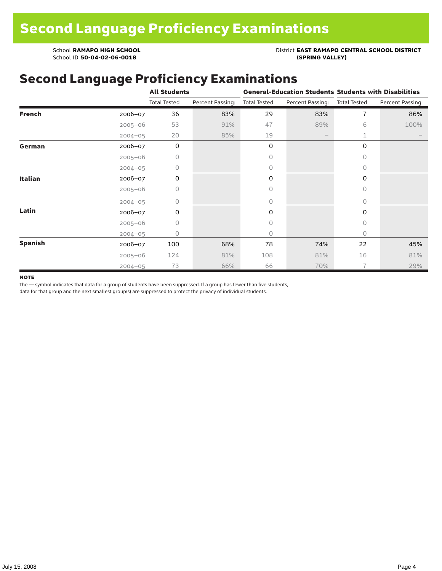School **RAMAPO HIGH SCHOOL**<br>School ID 50-04-02-06-0018<br>(SPRING VALLEY)

School ID 50-04-02-06-0018

### Second Language Proficiency Examinations

|                |             | <b>All Students</b> |                  |                     |                   | <b>General-Education Students Students with Disabilities</b> |                  |  |
|----------------|-------------|---------------------|------------------|---------------------|-------------------|--------------------------------------------------------------|------------------|--|
|                |             | <b>Total Tested</b> | Percent Passing: | <b>Total Tested</b> | Percent Passing:  | <b>Total Tested</b>                                          | Percent Passing: |  |
| <b>French</b>  | $2006 - 07$ | 36                  | 83%              | 29                  | 83%               | 7                                                            | 86%              |  |
|                | $2005 - 06$ | 53                  | 91%              | 47                  | 89%               | 6                                                            | 100%             |  |
|                | $2004 - 05$ | 20                  | 85%              | 19                  | $\qquad \qquad -$ | 1                                                            |                  |  |
| German         | 2006-07     | $\mathbf 0$         |                  | 0                   |                   | 0                                                            |                  |  |
|                | $2005 - 06$ | 0                   |                  | 0                   |                   | $\Omega$                                                     |                  |  |
|                | $2004 - 05$ | 0                   |                  | $\circ$             |                   | 0                                                            |                  |  |
| <b>Italian</b> | 2006-07     | 0                   |                  | 0                   |                   | 0                                                            |                  |  |
|                | $2005 - 06$ | 0                   |                  | 0                   |                   | $\circ$                                                      |                  |  |
|                | $2004 - 05$ | 0                   |                  | 0                   |                   | $\circ$                                                      |                  |  |
| Latin          | $2006 - 07$ | 0                   |                  | 0                   |                   | 0                                                            |                  |  |
|                | $2005 - 06$ | 0                   |                  | 0                   |                   | $\circ$                                                      |                  |  |
|                | $2004 - 05$ | 0                   |                  | 0                   |                   | $\Omega$                                                     |                  |  |
| <b>Spanish</b> | $2006 - 07$ | 100                 | 68%              | 78                  | 74%               | 22                                                           | 45%              |  |
|                | $2005 - 06$ | 124                 | 81%              | 108                 | 81%               | 16                                                           | 81%              |  |
|                | $2004 - 05$ | 73                  | 66%              | 66                  | 70%               | $\overline{7}$                                               | 29%              |  |

#### **NOTE**

The — symbol indicates that data for a group of students have been suppressed. If a group has fewer than five students,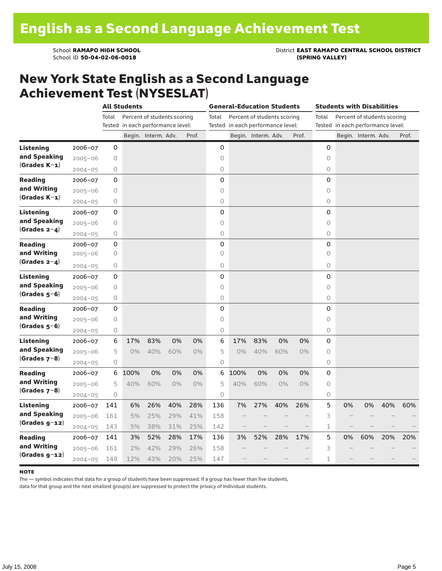School **RAMAPO HIGH SCHOOL**<br>School ID 50-04-02-06-0018<br>(SPRING VALLEY)

### New York State English as a Second Language Achievement Test (NYSESLAT)

|                  |             |       | <b>All Students</b>               |                             |       | <b>General-Education Students</b> |            |      |                                   | <b>Students with Disabilities</b> |       |              |                                   |                             |     |       |
|------------------|-------------|-------|-----------------------------------|-----------------------------|-------|-----------------------------------|------------|------|-----------------------------------|-----------------------------------|-------|--------------|-----------------------------------|-----------------------------|-----|-------|
|                  |             | Total |                                   | Percent of students scoring |       |                                   | Total      |      | Percent of students scoring       |                                   |       | Total        |                                   | Percent of students scoring |     |       |
|                  |             |       | Tested in each performance level: |                             |       |                                   |            |      | Tested in each performance level: |                                   |       |              | Tested in each performance level: |                             |     |       |
|                  |             |       |                                   | Begin. Interm. Adv.         |       | Prof.                             |            |      | Begin. Interm. Adv.               |                                   | Prof. |              |                                   | Begin. Interm. Adv.         |     | Prof. |
| <b>Listening</b> | 2006-07     | 0     |                                   |                             |       |                                   | 0          |      |                                   |                                   |       | 0            |                                   |                             |     |       |
| and Speaking     | $2005 - 06$ | 0     |                                   |                             |       |                                   | $\circ$    |      |                                   |                                   |       | $\circ$      |                                   |                             |     |       |
| $(Grades K-1)$   | $2004 - 05$ | 0     |                                   |                             |       |                                   | 0          |      |                                   |                                   |       | 0            |                                   |                             |     |       |
| <b>Reading</b>   | 2006-07     | 0     |                                   |                             |       |                                   | 0          |      |                                   |                                   |       | 0            |                                   |                             |     |       |
| and Writing      | $2005 - 06$ | 0     |                                   |                             |       |                                   | 0          |      |                                   |                                   |       | 0            |                                   |                             |     |       |
| $(Grades K-1)$   | $2004 - 05$ | 0     |                                   |                             |       |                                   | 0          |      |                                   |                                   |       | 0            |                                   |                             |     |       |
| Listening        | $2006 - 07$ | 0     |                                   |                             |       |                                   | 0          |      |                                   |                                   |       | 0            |                                   |                             |     |       |
| and Speaking     | $2005 - 06$ | 0     |                                   |                             |       |                                   | $\circ$    |      |                                   |                                   |       | 0            |                                   |                             |     |       |
| $(Grades 2-4)$   | $2004 - 05$ | 0     |                                   |                             |       |                                   | 0          |      |                                   |                                   |       | 0            |                                   |                             |     |       |
| <b>Reading</b>   | $2006 - 07$ | 0     |                                   |                             |       |                                   | 0          |      |                                   |                                   |       | 0            |                                   |                             |     |       |
| and Writing      | $2005 - 06$ | 0     |                                   |                             |       |                                   | $\circ$    |      |                                   |                                   |       | $\circ$      |                                   |                             |     |       |
| $(Grades 2-4)$   | $2004 - 05$ | 0     |                                   |                             |       |                                   | $\bigcirc$ |      |                                   |                                   |       | 0            |                                   |                             |     |       |
| <b>Listening</b> | 2006-07     | 0     |                                   |                             |       |                                   | 0          |      |                                   |                                   |       | 0            |                                   |                             |     |       |
| and Speaking     | $2005 - 06$ | 0     |                                   |                             |       |                                   | $\circ$    |      |                                   |                                   |       | 0            |                                   |                             |     |       |
| $(Grades 5-6)$   | $2004 - 05$ | 0     |                                   |                             |       |                                   | 0          |      |                                   |                                   |       | 0            |                                   |                             |     |       |
| <b>Reading</b>   | 2006-07     | 0     |                                   |                             |       |                                   | 0          |      |                                   |                                   |       | 0            |                                   |                             |     |       |
| and Writing      | $2005 - 06$ | 0     |                                   |                             |       |                                   | $\circ$    |      |                                   |                                   |       | $\circ$      |                                   |                             |     |       |
| $(Grades 5-6)$   | $2004 - 05$ | 0     |                                   |                             |       |                                   | 0          |      |                                   |                                   |       | 0            |                                   |                             |     |       |
| Listening        | 2006-07     | 6     | 17%                               | 83%                         | 0%    | 0%                                | 6          | 17%  | 83%                               | 0%                                | 0%    | 0            |                                   |                             |     |       |
| and Speaking     | $2005 - 06$ | 5     | $0\%$                             | 40%                         | 60%   | 0%                                | 5          | 0%   | 40%                               | 60%                               | $0\%$ | 0            |                                   |                             |     |       |
| $(Grades 7-8)$   | $2004 - 05$ | 0     |                                   |                             |       |                                   | $\circ$    |      |                                   |                                   |       | 0            |                                   |                             |     |       |
| <b>Reading</b>   | $2006 - 07$ | 6     | 100%                              | 0%                          | 0%    | 0%                                | 6          | 100% | 0%                                | 0%                                | 0%    | 0            |                                   |                             |     |       |
| and Writing      | $2005 - 06$ | 5     | 40%                               | 60%                         | $0\%$ | 0%                                | 5          | 40%  | 60%                               | $0\%$                             | 0%    | $\circ$      |                                   |                             |     |       |
| $(Grades 7-8)$   | $2004 - 05$ | 0     |                                   |                             |       |                                   | 0          |      |                                   |                                   |       | 0            |                                   |                             |     |       |
| <b>Listening</b> | 2006-07     | 141   | 6%                                | 26%                         | 40%   | 28%                               | 136        | 7%   | 27%                               | 40%                               | 26%   | 5            | 0%                                | 0%                          | 40% | 60%   |
| and Speaking     | $2005 - 06$ | 161   | 5%                                | 25%                         | 29%   | 41%                               | 158        |      |                                   |                                   |       | 3            |                                   |                             |     |       |
| $(Grades g-12)$  | $2004 - 05$ | 143   | 5%                                | 38%                         | 31%   | 25%                               | 142        |      |                                   |                                   |       | 1            |                                   |                             |     |       |
| Reading          | $2006 - 07$ | 141   | 3%                                | 52%                         | 28%   | 17%                               | 136        | 3%   | 52%                               | 28%                               | 17%   | 5            | 0%                                | 60%                         | 20% | 20%   |
| and Writing      | $2005 - 06$ | 161   | 2%                                | 42%                         | 29%   | 26%                               | 158        |      |                                   |                                   |       | 3            |                                   |                             |     |       |
| $(Grades g-12)$  | $2004 - 05$ | 148   | 12%                               | 43%                         | 20%   | 25%                               | 147        |      |                                   |                                   |       | $\mathbf{1}$ |                                   |                             |     |       |

#### **NOTE**

The — symbol indicates that data for a group of students have been suppressed. If a group has fewer than five students,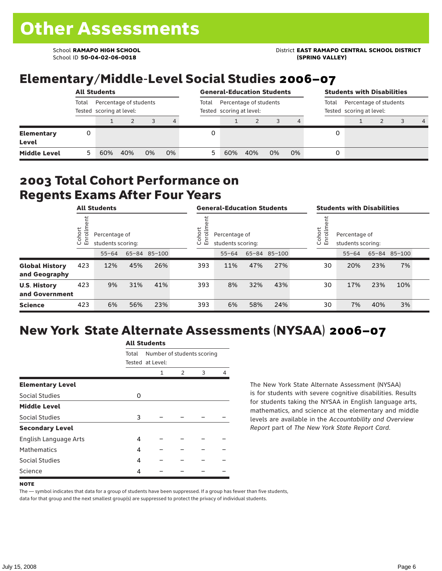School ID **50-04-02-06-0018 (SPRING VALLEY)**

School **RAMAPO HIGH SCHOOL** District **EAST RAMAPO CENTRAL SCHOOL DISTRICT**

# Elementary/Middle-Level Social Studies 2006–07

| <b>All Students</b>        |       |     |                                                    |    | <b>General-Education Students</b> |       |                          |     |    | <b>Students with Disabilities</b> |   |  |                                                             |  |   |
|----------------------------|-------|-----|----------------------------------------------------|----|-----------------------------------|-------|--------------------------|-----|----|-----------------------------------|---|--|-------------------------------------------------------------|--|---|
|                            | Total |     | Percentage of students<br>Tested scoring at level: |    |                                   | Total | Tested scoring at level: |     |    | Percentage of students            |   |  | Percentage of students<br>Total<br>Tested scoring at level: |  |   |
|                            |       |     |                                                    |    | 4                                 |       |                          |     |    | 4                                 |   |  |                                                             |  | 4 |
| <b>Elementary</b><br>Level | 0     |     |                                                    |    |                                   |       |                          |     |    |                                   | 0 |  |                                                             |  |   |
| <b>Middle Level</b>        | 5     | 60% | 40%                                                | 0% | 0%                                | 5     | 60%                      | 40% | 0% | 0%                                | 0 |  |                                                             |  |   |

### 2003 Total Cohort Performance on Regents Exams After Four Years

|                                        | <b>All Students</b>    |           |                                    | <b>General-Education Students</b> |  |                                                        |           | <b>Students with Disabilities</b> |              |  |                                                        |           |     |              |  |
|----------------------------------------|------------------------|-----------|------------------------------------|-----------------------------------|--|--------------------------------------------------------|-----------|-----------------------------------|--------------|--|--------------------------------------------------------|-----------|-----|--------------|--|
|                                        | Cohort<br>$\circ$<br>ᇛ |           | Percentage of<br>students scoring: |                                   |  | Cohort<br>Percentage of<br>ō<br>띧<br>students scoring: |           |                                   |              |  | Cohort<br>Percentage of<br>S<br>모<br>students scoring: |           |     |              |  |
|                                        |                        | $55 - 64$ |                                    | 65-84 85-100                      |  |                                                        | $55 - 64$ |                                   | 65-84 85-100 |  |                                                        | $55 - 64$ |     | 65-84 85-100 |  |
| <b>Global History</b><br>and Geography | 423                    | 12%       | 45%                                | 26%                               |  | 393                                                    | 11%       | 47%                               | 27%          |  | 30                                                     | 20%       | 23% | 7%           |  |
| <b>U.S. History</b><br>and Government  | 423                    | 9%        | 31%                                | 41%                               |  | 393                                                    | 8%        | 32%                               | 43%          |  | 30                                                     | 17%       | 23% | 10%          |  |
| <b>Science</b>                         | 423                    | 6%        | 56%                                | 23%                               |  | 393                                                    | 6%        | 58%                               | 24%          |  | 30                                                     | 7%        | 40% | 3%           |  |

# New York State Alternate Assessments (NYSAA) 2006–07

|                         | AIL SLUUCIILS |                  |                            |   |   |  |  |  |  |
|-------------------------|---------------|------------------|----------------------------|---|---|--|--|--|--|
|                         | Total         |                  | Number of students scoring |   |   |  |  |  |  |
|                         |               | Tested at Level: |                            |   |   |  |  |  |  |
|                         |               | 1                | 2                          | 3 | 4 |  |  |  |  |
| <b>Elementary Level</b> |               |                  |                            |   |   |  |  |  |  |
| Social Studies          | 0             |                  |                            |   |   |  |  |  |  |
| <b>Middle Level</b>     |               |                  |                            |   |   |  |  |  |  |
| <b>Social Studies</b>   | 3             |                  |                            |   |   |  |  |  |  |
| <b>Secondary Level</b>  |               |                  |                            |   |   |  |  |  |  |
| English Language Arts   | 4             |                  |                            |   |   |  |  |  |  |
| <b>Mathematics</b>      | 4             |                  |                            |   |   |  |  |  |  |
| Social Studies          | 4             |                  |                            |   |   |  |  |  |  |
| Science                 | 4             |                  |                            |   |   |  |  |  |  |

All C<sub>tude</sub>

The New York State Alternate Assessment (NYSAA) is for students with severe cognitive disabilities. Results for students taking the NYSAA in English language arts, mathematics, and science at the elementary and middle levels are available in the *Accountability and Overview Report* part of *The New York State Report Card*.

The — symbol indicates that data for a group of students have been suppressed. If a group has fewer than five students, data for that group and the next smallest group(s) are suppressed to protect the privacy of individual students.

**NOTE**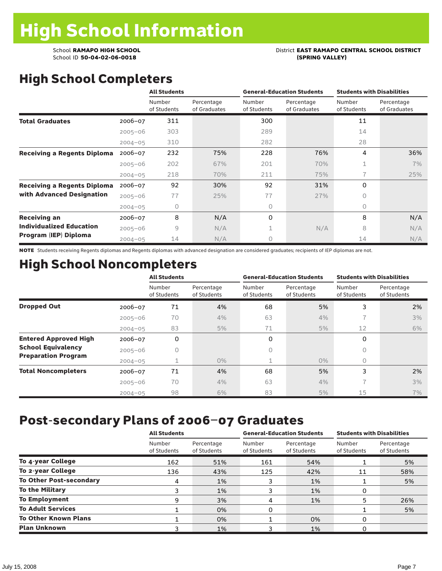# School **RAMAPO HIGH SCHOOL**<br>School ID 50-04-02-06-0018<br>(SPRING VALLEY)

# High School Completers

|                                    |             | <b>All Students</b>   |                            |                       | <b>General-Education Students</b> | <b>Students with Disabilities</b> |                            |  |
|------------------------------------|-------------|-----------------------|----------------------------|-----------------------|-----------------------------------|-----------------------------------|----------------------------|--|
|                                    |             | Number<br>of Students | Percentage<br>of Graduates | Number<br>of Students | Percentage<br>of Graduates        | Number<br>of Students             | Percentage<br>of Graduates |  |
| <b>Total Graduates</b>             | $2006 - 07$ | 311                   |                            | 300                   |                                   | 11                                |                            |  |
|                                    | $2005 - 06$ | 303                   |                            | 289                   |                                   | 14                                |                            |  |
|                                    | $2004 - 05$ | 310                   |                            | 282                   |                                   | 28                                |                            |  |
| <b>Receiving a Regents Diploma</b> | $2006 - 07$ | 232                   | 75%                        | 228                   | 76%                               | 4                                 | 36%                        |  |
|                                    | $2005 - 06$ | 202                   | 67%                        | 201                   | 70%                               | 1                                 | 7%                         |  |
|                                    | $2004 - 05$ | 218                   | 70%                        | 211                   | 75%                               | 7                                 | 25%                        |  |
| <b>Receiving a Regents Diploma</b> | $2006 - 07$ | 92                    | 30%                        | 92                    | 31%                               | 0                                 |                            |  |
| with Advanced Designation          | $2005 - 06$ | 77                    | 25%                        | 77                    | 27%                               | 0                                 |                            |  |
|                                    | $2004 - 05$ | 0                     |                            | 0                     |                                   | $\circ$                           |                            |  |
| <b>Receiving an</b>                | $2006 - 07$ | 8                     | N/A                        | 0                     |                                   | 8                                 | N/A                        |  |
| <b>Individualized Education</b>    | $2005 - 06$ | 9                     | N/A                        | 1                     | N/A                               | 8                                 | N/A                        |  |
| Program (IEP) Diploma              | $2004 - 05$ | 14                    | N/A                        | 0                     |                                   | 14                                | N/A                        |  |

NOTE Students receiving Regents diplomas and Regents diplomas with advanced designation are considered graduates; recipients of IEP diplomas are not.

## High School Noncompleters

|                              |             | <b>All Students</b>   |                           |                       | <b>General-Education Students</b> | <b>Students with Disabilities</b> |                           |  |  |
|------------------------------|-------------|-----------------------|---------------------------|-----------------------|-----------------------------------|-----------------------------------|---------------------------|--|--|
|                              |             | Number<br>of Students | Percentage<br>of Students | Number<br>of Students | Percentage<br>of Students         | Number<br>of Students             | Percentage<br>of Students |  |  |
| <b>Dropped Out</b>           | 2006-07     | 71                    | 4%                        | 68                    | 5%                                | 3                                 | 2%                        |  |  |
|                              | $2005 - 06$ | 70                    | 4%                        | 63                    | 4%                                |                                   | 3%                        |  |  |
|                              | $2004 - 05$ | 83                    | 5%                        | 71                    | 5%                                | 12                                | 6%                        |  |  |
| <b>Entered Approved High</b> | $2006 - 07$ | 0                     |                           | 0                     |                                   | 0                                 |                           |  |  |
| <b>School Equivalency</b>    | $2005 - 06$ | 0                     |                           | 0                     |                                   | 0                                 |                           |  |  |
| <b>Preparation Program</b>   | $2004 - 05$ |                       | $0\%$                     | 1                     | $0\%$                             | 0                                 |                           |  |  |
| <b>Total Noncompleters</b>   | 2006-07     | 71                    | 4%                        | 68                    | 5%                                | 3                                 | 2%                        |  |  |
|                              | $2005 - 06$ | 70                    | 4%                        | 63                    | 4%                                | $\overline{\phantom{1}}$          | 3%                        |  |  |
|                              | $2004 - 05$ | 98                    | 6%                        | 83                    | 5%                                | 15                                | 7%                        |  |  |

### Post-secondary Plans of 2006–07 Graduates

|                                | <b>All Students</b>   |                           |                       | <b>General-Education Students</b> | <b>Students with Disabilities</b> |                           |  |
|--------------------------------|-----------------------|---------------------------|-----------------------|-----------------------------------|-----------------------------------|---------------------------|--|
|                                | Number<br>of Students | Percentage<br>of Students | Number<br>of Students | Percentage<br>of Students         | Number<br>of Students             | Percentage<br>of Students |  |
| To 4-year College              | 162                   | 51%                       | 161                   | 54%                               |                                   | 5%                        |  |
| To 2-year College              | 136                   | 43%                       | 125                   | 42%                               | 11                                | 58%                       |  |
| <b>To Other Post-secondary</b> | 4                     | 1%                        | 3                     | 1%                                |                                   | 5%                        |  |
| <b>To the Military</b>         |                       | 1%                        |                       | 1%                                | 0                                 |                           |  |
| <b>To Employment</b>           | 9                     | 3%                        | 4                     | 1%                                | 5                                 | 26%                       |  |
| <b>To Adult Services</b>       |                       | 0%                        | 0                     |                                   |                                   | 5%                        |  |
| <b>To Other Known Plans</b>    |                       | 0%                        |                       | 0%                                | 0                                 |                           |  |
| <b>Plan Unknown</b>            |                       | 1%                        |                       | 1%                                |                                   |                           |  |